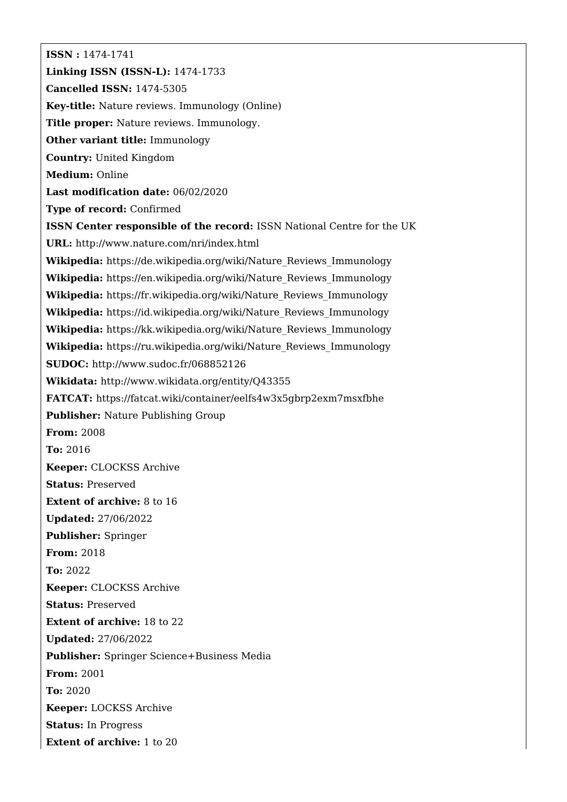**ISSN :** 1474-1741 **Linking ISSN (ISSN-L):** 1474-1733 **Cancelled ISSN:** 1474-5305 **Key-title:** Nature reviews. Immunology (Online) **Title proper:** Nature reviews. Immunology. **Other variant title:** Immunology **Country:** United Kingdom **Medium:** Online **Last modification date:** 06/02/2020 **Type of record:** Confirmed **ISSN Center responsible of the record:** ISSN National Centre for the UK **URL:** <http://www.nature.com/nri/index.html> **Wikipedia:** [https://de.wikipedia.org/wiki/Nature\\_Reviews\\_Immunology](https://de.wikipedia.org/wiki/Nature_Reviews_Immunology) **Wikipedia:** [https://en.wikipedia.org/wiki/Nature\\_Reviews\\_Immunology](https://en.wikipedia.org/wiki/Nature_Reviews_Immunology) **Wikipedia:** [https://fr.wikipedia.org/wiki/Nature\\_Reviews\\_Immunology](https://fr.wikipedia.org/wiki/Nature_Reviews_Immunology) **Wikipedia:** [https://id.wikipedia.org/wiki/Nature\\_Reviews\\_Immunology](https://id.wikipedia.org/wiki/Nature_Reviews_Immunology) **Wikipedia:** [https://kk.wikipedia.org/wiki/Nature\\_Reviews\\_Immunology](https://kk.wikipedia.org/wiki/Nature_Reviews_Immunology) **Wikipedia:** [https://ru.wikipedia.org/wiki/Nature\\_Reviews\\_Immunology](https://ru.wikipedia.org/wiki/Nature_Reviews_Immunology) **SUDOC:** <http://www.sudoc.fr/068852126> **Wikidata:** <http://www.wikidata.org/entity/Q43355> **FATCAT:** <https://fatcat.wiki/container/eelfs4w3x5gbrp2exm7msxfbhe> **Publisher:** Nature Publishing Group **From:** 2008 **To:** 2016 **Keeper:** CLOCKSS Archive **Status:** Preserved **Extent of archive:** 8 to 16 **Updated:** 27/06/2022 **Publisher:** Springer **From:** 2018 **To:** 2022 **Keeper:** CLOCKSS Archive **Status:** Preserved **Extent of archive:** 18 to 22 **Updated:** 27/06/2022 **Publisher:** Springer Science+Business Media **From:** 2001 **To:** 2020 **Keeper:** LOCKSS Archive **Status:** In Progress **Extent of archive:** 1 to 20